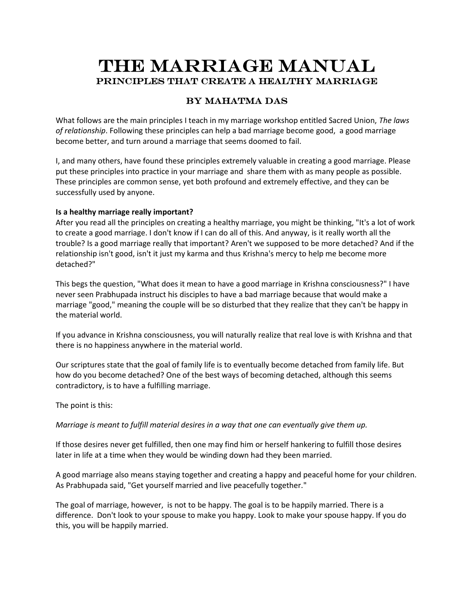# **The Marriage Manual Principles that Create a healthy marriage**

# **By Mahatma Das**

What follows are the main principles I teach in my marriage workshop entitled Sacred Union, *The laws of relationship*. Following these principles can help a bad marriage become good, a good marriage become better, and turn around a marriage that seems doomed to fail.

I, and many others, have found these principles extremely valuable in creating a good marriage. Please put these principles into practice in your marriage and share them with as many people as possible. These principles are common sense, yet both profound and extremely effective, and they can be successfully used by anyone.

# **Is a healthy marriage really important?**

After you read all the principles on creating a healthy marriage, you might be thinking, "It's a lot of work to create a good marriage. I don't know if I can do all of this. And anyway, is it really worth all the trouble? Is a good marriage really that important? Aren't we supposed to be more detached? And if the relationship isn't good, isn't it just my karma and thus Krishna's mercy to help me become more detached?"

This begs the question, "What does it mean to have a good marriage in Krishna consciousness?" I have never seen Prabhupada instruct his disciples to have a bad marriage because that would make a marriage "good," meaning the couple will be so disturbed that they realize that they can't be happy in the material world.

If you advance in Krishna consciousness, you will naturally realize that real love is with Krishna and that there is no happiness anywhere in the material world.

Our scriptures state that the goal of family life is to eventually become detached from family life. But how do you become detached? One of the best ways of becoming detached, although this seems contradictory, is to have a fulfilling marriage.

The point is this:

*Marriage is meant to fulfill material desires in a way that one can eventually give them up.*

If those desires never get fulfilled, then one may find him or herself hankering to fulfill those desires later in life at a time when they would be winding down had they been married.

A good marriage also means staying together and creating a happy and peaceful home for your children. As Prabhupada said, "Get yourself married and live peacefully together."

The goal of marriage, however, is not to be happy. The goal is to be happily married. There is a difference. Don't look to your spouse to make you happy. Look to make your spouse happy. If you do this, you will be happily married.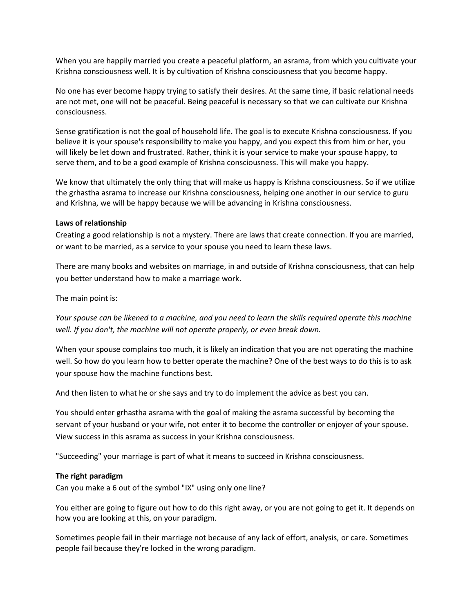When you are happily married you create a peaceful platform, an asrama, from which you cultivate your Krishna consciousness well. It is by cultivation of Krishna consciousness that you become happy.

No one has ever become happy trying to satisfy their desires. At the same time, if basic relational needs are not met, one will not be peaceful. Being peaceful is necessary so that we can cultivate our Krishna consciousness.

Sense gratification is not the goal of household life. The goal is to execute Krishna consciousness. If you believe it is your spouse's responsibility to make you happy, and you expect this from him or her, you will likely be let down and frustrated. Rather, think it is your service to make your spouse happy, to serve them, and to be a good example of Krishna consciousness. This will make you happy.

We know that ultimately the only thing that will make us happy is Krishna consciousness. So if we utilize the grhastha asrama to increase our Krishna consciousness, helping one another in our service to guru and Krishna, we will be happy because we will be advancing in Krishna consciousness.

#### **Laws of relationship**

Creating a good relationship is not a mystery. There are laws that create connection. If you are married, or want to be married, as a service to your spouse you need to learn these laws.

There are many books and websites on marriage, in and outside of Krishna consciousness, that can help you better understand how to make a marriage work.

The main point is:

*Your spouse can be likened to a machine, and you need to learn the skills required operate this machine well. If you don't, the machine will not operate properly, or even break down.*

When your spouse complains too much, it is likely an indication that you are not operating the machine well. So how do you learn how to better operate the machine? One of the best ways to do this is to ask your spouse how the machine functions best.

And then listen to what he or she says and try to do implement the advice as best you can.

You should enter grhastha asrama with the goal of making the asrama successful by becoming the servant of your husband or your wife, not enter it to become the controller or enjoyer of your spouse. View success in this asrama as success in your Krishna consciousness.

"Succeeding" your marriage is part of what it means to succeed in Krishna consciousness.

#### **The right paradigm**

Can you make a 6 out of the symbol "IX" using only one line?

You either are going to figure out how to do this right away, or you are not going to get it. It depends on how you are looking at this, on your paradigm.

Sometimes people fail in their marriage not because of any lack of effort, analysis, or care. Sometimes people fail because they're locked in the wrong paradigm.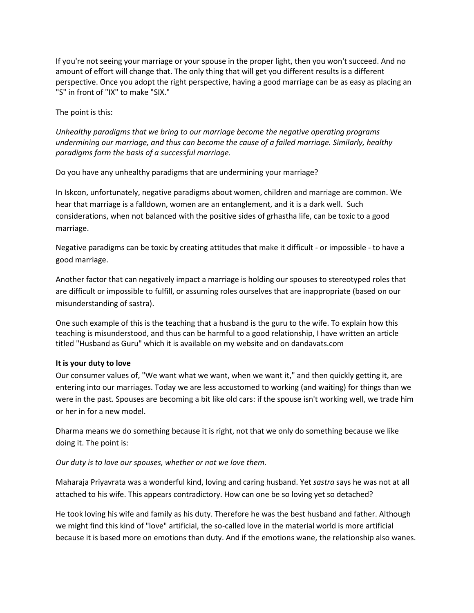If you're not seeing your marriage or your spouse in the proper light, then you won't succeed. And no amount of effort will change that. The only thing that will get you different results is a different perspective. Once you adopt the right perspective, having a good marriage can be as easy as placing an "S" in front of "IX" to make "SIX."

The point is this:

*Unhealthy paradigms that we bring to our marriage become the negative operating programs undermining our marriage, and thus can become the cause of a failed marriage. Similarly, healthy paradigms form the basis of a successful marriage.*

Do you have any unhealthy paradigms that are undermining your marriage?

In Iskcon, unfortunately, negative paradigms about women, children and marriage are common. We hear that marriage is a falldown, women are an entanglement, and it is a dark well. Such considerations, when not balanced with the positive sides of grhastha life, can be toxic to a good marriage.

Negative paradigms can be toxic by creating attitudes that make it difficult - or impossible - to have a good marriage.

Another factor that can negatively impact a marriage is holding our spouses to stereotyped roles that are difficult or impossible to fulfill, or assuming roles ourselves that are inappropriate (based on our misunderstanding of sastra).

One such example of this is the teaching that a husband is the guru to the wife. To explain how this teaching is misunderstood, and thus can be harmful to a good relationship, I have written an article titled "Husband as Guru" which it is available on my website and on dandavats.com

# **It is your duty to love**

Our consumer values of, "We want what we want, when we want it," and then quickly getting it, are entering into our marriages. Today we are less accustomed to working (and waiting) for things than we were in the past. Spouses are becoming a bit like old cars: if the spouse isn't working well, we trade him or her in for a new model.

Dharma means we do something because it is right, not that we only do something because we like doing it. The point is:

*Our duty is to love our spouses, whether or not we love them.*

Maharaja Priyavrata was a wonderful kind, loving and caring husband. Yet *sastra* says he was not at all attached to his wife. This appears contradictory. How can one be so loving yet so detached?

He took loving his wife and family as his duty. Therefore he was the best husband and father. Although we might find this kind of "love" artificial, the so-called love in the material world is more artificial because it is based more on emotions than duty. And if the emotions wane, the relationship also wanes.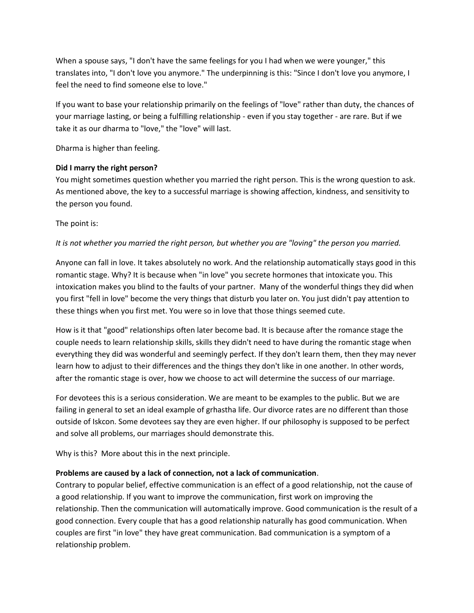When a spouse says, "I don't have the same feelings for you I had when we were younger," this translates into, "I don't love you anymore." The underpinning is this: "Since I don't love you anymore, I feel the need to find someone else to love."

If you want to base your relationship primarily on the feelings of "love" rather than duty, the chances of your marriage lasting, or being a fulfilling relationship - even if you stay together - are rare. But if we take it as our dharma to "love," the "love" will last.

Dharma is higher than feeling.

# **Did I marry the right person?**

You might sometimes question whether you married the right person. This is the wrong question to ask. As mentioned above, the key to a successful marriage is showing affection, kindness, and sensitivity to the person you found.

The point is:

# *It is not whether you married the right person, but whether you are "loving" the person you married.*

Anyone can fall in love. It takes absolutely no work. And the relationship automatically stays good in this romantic stage. Why? It is because when "in love" you secrete hormones that intoxicate you. This intoxication makes you blind to the faults of your partner. Many of the wonderful things they did when you first "fell in love" become the very things that disturb you later on. You just didn't pay attention to these things when you first met. You were so in love that those things seemed cute.

How is it that "good" relationships often later become bad. It is because after the romance stage the couple needs to learn relationship skills, skills they didn't need to have during the romantic stage when everything they did was wonderful and seemingly perfect. If they don't learn them, then they may never learn how to adjust to their differences and the things they don't like in one another. In other words, after the romantic stage is over, how we choose to act will determine the success of our marriage.

For devotees this is a serious consideration. We are meant to be examples to the public. But we are failing in general to set an ideal example of grhastha life. Our divorce rates are no different than those outside of Iskcon. Some devotees say they are even higher. If our philosophy is supposed to be perfect and solve all problems, our marriages should demonstrate this.

Why is this? More about this in the next principle.

# **Problems are caused by a lack of connection, not a lack of communication**.

Contrary to popular belief, effective communication is an effect of a good relationship, not the cause of a good relationship. If you want to improve the communication, first work on improving the relationship. Then the communication will automatically improve. Good communication is the result of a good connection. Every couple that has a good relationship naturally has good communication. When couples are first "in love" they have great communication. Bad communication is a symptom of a relationship problem.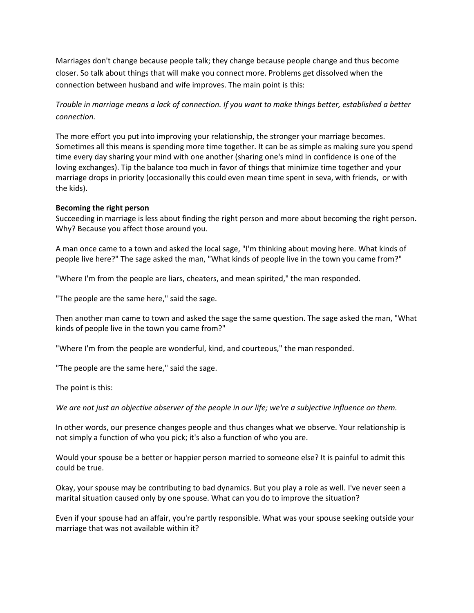Marriages don't change because people talk; they change because people change and thus become closer. So talk about things that will make you connect more. Problems get dissolved when the connection between husband and wife improves. The main point is this:

*Trouble in marriage means a lack of connection. If you want to make things better, established a better connection.*

The more effort you put into improving your relationship, the stronger your marriage becomes. Sometimes all this means is spending more time together. It can be as simple as making sure you spend time every day sharing your mind with one another (sharing one's mind in confidence is one of the loving exchanges). Tip the balance too much in favor of things that minimize time together and your marriage drops in priority (occasionally this could even mean time spent in seva, with friends, or with the kids).

#### **Becoming the right person**

Succeeding in marriage is less about finding the right person and more about becoming the right person. Why? Because you affect those around you.

A man once came to a town and asked the local sage, "I'm thinking about moving here. What kinds of people live here?" The sage asked the man, "What kinds of people live in the town you came from?"

"Where I'm from the people are liars, cheaters, and mean spirited," the man responded.

"The people are the same here," said the sage.

Then another man came to town and asked the sage the same question. The sage asked the man, "What kinds of people live in the town you came from?"

"Where I'm from the people are wonderful, kind, and courteous," the man responded.

"The people are the same here," said the sage.

The point is this:

*We are not just an objective observer of the people in our life; we're a subjective influence on them.*

In other words, our presence changes people and thus changes what we observe. Your relationship is not simply a function of who you pick; it's also a function of who you are.

Would your spouse be a better or happier person married to someone else? It is painful to admit this could be true.

Okay, your spouse may be contributing to bad dynamics. But you play a role as well. I've never seen a marital situation caused only by one spouse. What can you do to improve the situation?

Even if your spouse had an affair, you're partly responsible. What was your spouse seeking outside your marriage that was not available within it?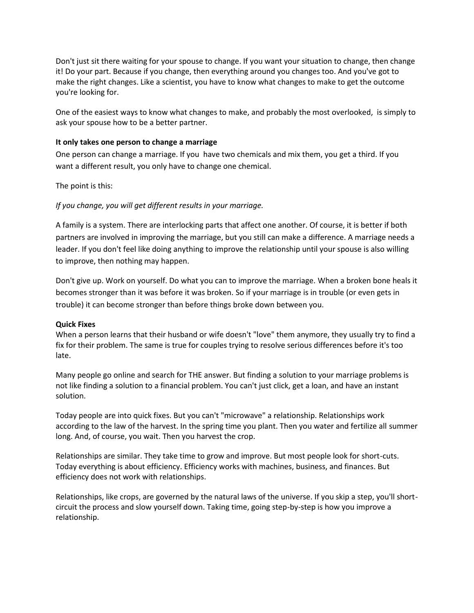Don't just sit there waiting for your spouse to change. If you want your situation to change, then change it! Do your part. Because if you change, then everything around you changes too. And you've got to make the right changes. Like a scientist, you have to know what changes to make to get the outcome you're looking for.

One of the easiest ways to know what changes to make, and probably the most overlooked, is simply to ask your spouse how to be a better partner.

#### **It only takes one person to change a marriage**

One person can change a marriage. If you have two chemicals and mix them, you get a third. If you want a different result, you only have to change one chemical.

The point is this:

# *If you change, you will get different results in your marriage.*

A family is a system. There are interlocking parts that affect one another. Of course, it is better if both partners are involved in improving the marriage, but you still can make a difference. A marriage needs a leader. If you don't feel like doing anything to improve the relationship until your spouse is also willing to improve, then nothing may happen.

Don't give up. Work on yourself. Do what you can to improve the marriage. When a broken bone heals it becomes stronger than it was before it was broken. So if your marriage is in trouble (or even gets in trouble) it can become stronger than before things broke down between you.

#### **Quick Fixes**

When a person learns that their husband or wife doesn't "love" them anymore, they usually try to find a fix for their problem. The same is true for couples trying to resolve serious differences before it's too late.

Many people go online and search for THE answer. But finding a solution to your marriage problems is not like finding a solution to a financial problem. You can't just click, get a loan, and have an instant solution.

Today people are into quick fixes. But you can't "microwave" a relationship. Relationships work according to the law of the harvest. In the spring time you plant. Then you water and fertilize all summer long. And, of course, you wait. Then you harvest the crop.

Relationships are similar. They take time to grow and improve. But most people look for short-cuts. Today everything is about efficiency. Efficiency works with machines, business, and finances. But efficiency does not work with relationships.

Relationships, like crops, are governed by the natural laws of the universe. If you skip a step, you'll short circuit the process and slow yourself down. Taking time, going step-by-step is how you improve a relationship.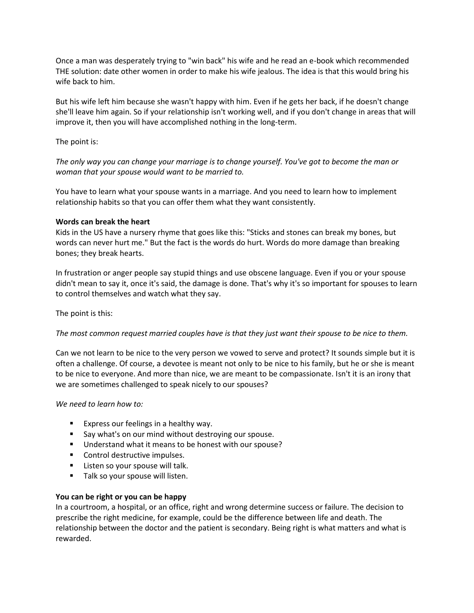Once a man was desperately trying to "win back" his wife and he read an e-book which recommended THE solution: date other women in order to make his wife jealous. The idea is that this would bring his wife back to him.

But his wife left him because she wasn't happy with him. Even if he gets her back, if he doesn't change she'll leave him again. So if your relationship isn't working well, and if you don't change in areas that will improve it, then you will have accomplished nothing in the long-term.

The point is:

*The only way you can change your marriage is to change yourself. You've got to become the man or woman that your spouse would want to be married to.*

You have to learn what your spouse wants in a marriage. And you need to learn how to implement relationship habits so that you can offer them what they want consistently.

# **Words can break the heart**

Kids in the US have a nursery rhyme that goes like this: "Sticks and stones can break my bones, but words can never hurt me." But the fact is the words do hurt. Words do more damage than breaking bones; they break hearts.

In frustration or anger people say stupid things and use obscene language. Even if you or your spouse didn't mean to say it, once it's said, the damage is done. That's why it's so important for spouses to learn to control themselves and watch what they say.

The point is this:

*The most common request married couples have is that they just want their spouse to be nice to them.*

Can we not learn to be nice to the very person we vowed to serve and protect? It sounds simple but it is often a challenge. Of course, a devotee is meant not only to be nice to his family, but he or she is meant to be nice to everyone. And more than nice, we are meant to be compassionate. Isn't it is an irony that we are sometimes challenged to speak nicely to our spouses?

*We need to learn how to:*

- **Express our feelings in a healthy way.**
- **Say what's on our mind without destroying our spouse.**
- Understand what it means to be honest with our spouse?
- **Control destructive impulses.**
- **Listen so your spouse will talk.**
- Talk so your spouse will listen.

# **You can be right or you can be happy**

In a courtroom, a hospital, or an office, right and wrong determine success or failure. The decision to prescribe the right medicine, for example, could be the difference between life and death. The relationship between the doctor and the patient is secondary. Being right is what matters and what is rewarded.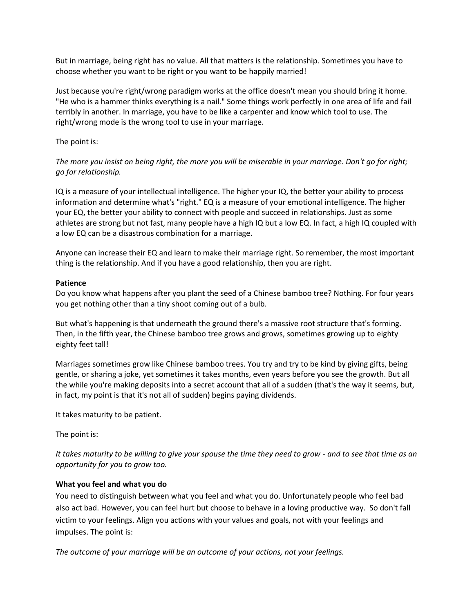But in marriage, being right has no value. All that matters is the relationship. Sometimes you have to choose whether you want to be right or you want to be happily married!

Just because you're right/wrong paradigm works at the office doesn't mean you should bring it home. "He who is a hammer thinks everything is a nail." Some things work perfectly in one area of life and fail terribly in another. In marriage, you have to be like a carpenter and know which tool to use. The right/wrong mode is the wrong tool to use in your marriage.

The point is:

*The more you insist on being right, the more you will be miserable in your marriage. Don't go for right; go for relationship.*

IQ is a measure of your intellectual intelligence. The higher your IQ, the better your ability to process information and determine what's "right." EQ is a measure of your emotional intelligence. The higher your EQ, the better your ability to connect with people and succeed in relationships. Just as some athletes are strong but not fast, many people have a high IQ but a low EQ. In fact, a high IQ coupled with a low EQ can be a disastrous combination for a marriage.

Anyone can increase their EQ and learn to make their marriage right. So remember, the most important thing is the relationship. And if you have a good relationship, then you are right.

# **Patience**

Do you know what happens after you plant the seed of a Chinese bamboo tree? Nothing. For four years you get nothing other than a tiny shoot coming out of a bulb.

But what's happening is that underneath the ground there's a massive root structure that's forming. Then, in the fifth year, the Chinese bamboo tree grows and grows, sometimes growing up to eighty eighty feet tall!

Marriages sometimes grow like Chinese bamboo trees. You try and try to be kind by giving gifts, being gentle, or sharing a joke, yet sometimes it takes months, even years before you see the growth. But all the while you're making deposits into a secret account that all of a sudden (that's the way it seems, but, in fact, my point is that it's not all of sudden) begins paying dividends.

It takes maturity to be patient.

The point is:

*It takes maturity to be willing to give your spouse the time they need to grow - and to see that time as an opportunity for you to grow too.*

# **What you feel and what you do**

You need to distinguish between what you feel and what you do. Unfortunately people who feel bad also act bad. However, you can feel hurt but choose to behave in a loving productive way. So don't fall victim to your feelings. Align you actions with your values and goals, not with your feelings and impulses. The point is:

*The outcome of your marriage will be an outcome of your actions, not your feelings.*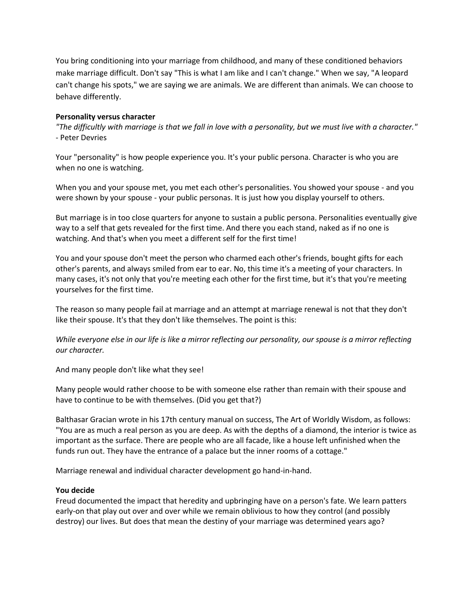You bring conditioning into your marriage from childhood, and many of these conditioned behaviors make marriage difficult. Don't say "This is what I am like and I can't change." When we say, "A leopard can't change his spots," we are saying we are animals. We are different than animals. We can choose to behave differently.

#### **Personality versus character**

*"The difficultly with marriage is that we fall in love with a personality, but we must live with a character."* - Peter Devries

Your "personality" is how people experience you. It's your public persona. Character is who you are when no one is watching.

When you and your spouse met, you met each other's personalities. You showed your spouse - and you were shown by your spouse - your public personas. It is just how you display yourself to others.

But marriage is in too close quarters for anyone to sustain a public persona. Personalities eventually give way to a self that gets revealed for the first time. And there you each stand, naked as if no one is watching. And that's when you meet a different self for the first time!

You and your spouse don't meet the person who charmed each other's friends, bought gifts for each other's parents, and always smiled from ear to ear. No, this time it's a meeting of your characters. In many cases, it's not only that you're meeting each other for the first time, but it's that you're meeting yourselves for the first time.

The reason so many people fail at marriage and an attempt at marriage renewal is not that they don't like their spouse. It's that they don't like themselves. The point is this:

*While everyone else in our life is like a mirror reflecting our personality, our spouse is a mirror reflecting our character.*

And many people don't like what they see!

Many people would rather choose to be with someone else rather than remain with their spouse and have to continue to be with themselves. (Did you get that?)

Balthasar Gracian wrote in his 17th century manual on success, The Art of Worldly Wisdom, as follows: "You are as much a real person as you are deep. As with the depths of a diamond, the interior is twice as important as the surface. There are people who are all facade, like a house left unfinished when the funds run out. They have the entrance of a palace but the inner rooms of a cottage."

Marriage renewal and individual character development go hand-in-hand.

#### **You decide**

Freud documented the impact that heredity and upbringing have on a person's fate. We learn patters early-on that play out over and over while we remain oblivious to how they control (and possibly destroy) our lives. But does that mean the destiny of your marriage was determined years ago?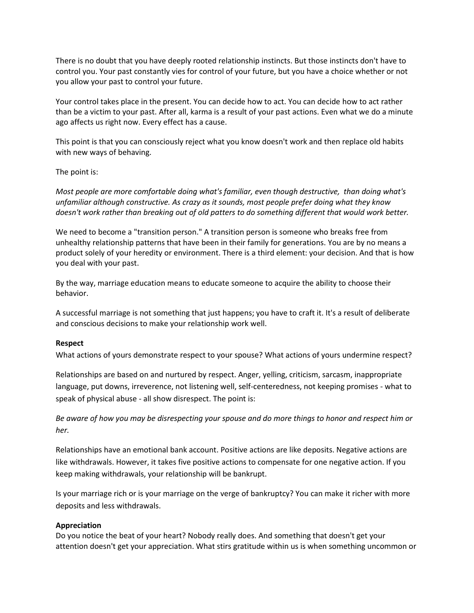There is no doubt that you have deeply rooted relationship instincts. But those instincts don't have to control you. Your past constantly vies for control of your future, but you have a choice whether or not you allow your past to control your future.

Your control takes place in the present. You can decide how to act. You can decide how to act rather than be a victim to your past. After all, karma is a result of your past actions. Even what we do a minute ago affects us right now. Every effect has a cause.

This point is that you can consciously reject what you know doesn't work and then replace old habits with new ways of behaving.

# The point is:

*Most people are more comfortable doing what's familiar, even though destructive, than doing what's unfamiliar although constructive. As crazy as it sounds, most people prefer doing what they know doesn't work rather than breaking out of old patters to do something different that would work better.*

We need to become a "transition person." A transition person is someone who breaks free from unhealthy relationship patterns that have been in their family for generations. You are by no means a product solely of your heredity or environment. There is a third element: your decision. And that is how you deal with your past.

By the way, marriage education means to educate someone to acquire the ability to choose their behavior.

A successful marriage is not something that just happens; you have to craft it. It's a result of deliberate and conscious decisions to make your relationship work well.

#### **Respect**

What actions of yours demonstrate respect to your spouse? What actions of yours undermine respect?

Relationships are based on and nurtured by respect. Anger, yelling, criticism, sarcasm, inappropriate language, put downs, irreverence, not listening well, self-centeredness, not keeping promises - what to speak of physical abuse - all show disrespect. The point is:

*Be aware of how you may be disrespecting your spouse and do more things to honor and respect him or her.*

Relationships have an emotional bank account. Positive actions are like deposits. Negative actions are like withdrawals. However, it takes five positive actions to compensate for one negative action. If you keep making withdrawals, your relationship will be bankrupt.

Is your marriage rich or is your marriage on the verge of bankruptcy? You can make it richer with more deposits and less withdrawals.

#### **Appreciation**

Do you notice the beat of your heart? Nobody really does. And something that doesn't get your attention doesn't get your appreciation. What stirs gratitude within us is when something uncommon or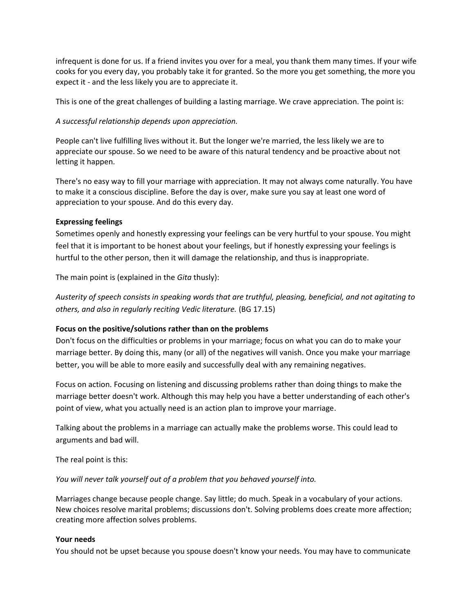infrequent is done for us. If a friend invites you over for a meal, you thank them many times. If your wife cooks for you every day, you probably take it for granted. So the more you get something, the more you expect it - and the less likely you are to appreciate it.

This is one of the great challenges of building a lasting marriage. We crave appreciation. The point is:

# *A successful relationship depends upon appreciation.*

People can't live fulfilling lives without it. But the longer we're married, the less likely we are to appreciate our spouse. So we need to be aware of this natural tendency and be proactive about not letting it happen.

There's no easy way to fill your marriage with appreciation. It may not always come naturally. You have to make it a conscious discipline. Before the day is over, make sure you say at least one word of appreciation to your spouse. And do this every day.

# **Expressing feelings**

Sometimes openly and honestly expressing your feelings can be very hurtful to your spouse. You might feel that it is important to be honest about your feelings, but if honestly expressing your feelings is hurtful to the other person, then it will damage the relationship, and thus is inappropriate.

The main point is (explained in the *Gita* thusly):

*Austerity of speech consists in speaking words that are truthful, pleasing, beneficial, and not agitating to others, and also in regularly reciting Vedic literature.* (BG 17.15)

# **Focus on the positive/solutions rather than on the problems**

Don't focus on the difficulties or problems in your marriage; focus on what you can do to make your marriage better. By doing this, many (or all) of the negatives will vanish. Once you make your marriage better, you will be able to more easily and successfully deal with any remaining negatives.

Focus on action. Focusing on listening and discussing problems rather than doing things to make the marriage better doesn't work. Although this may help you have a better understanding of each other's point of view, what you actually need is an action plan to improve your marriage.

Talking about the problems in a marriage can actually make the problems worse. This could lead to arguments and bad will.

The real point is this:

*You will never talk yourself out of a problem that you behaved yourself into.*

Marriages change because people change. Say little; do much. Speak in a vocabulary of your actions. New choices resolve marital problems; discussions don't. Solving problems does create more affection; creating more affection solves problems.

# **Your needs**

You should not be upset because you spouse doesn't know your needs. You may have to communicate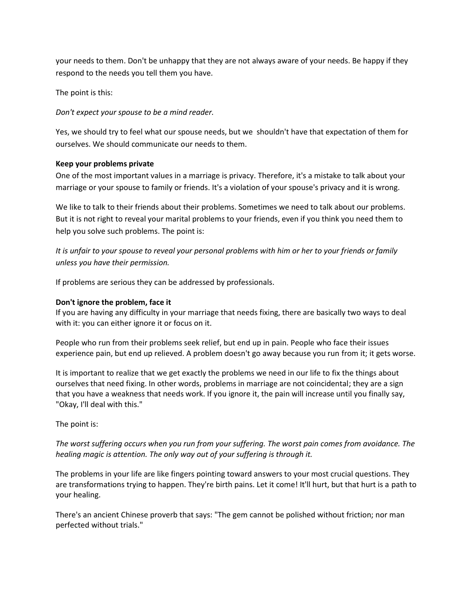your needs to them. Don't be unhappy that they are not always aware of your needs. Be happy if they respond to the needs you tell them you have.

The point is this:

*Don't expect your spouse to be a mind reader.*

Yes, we should try to feel what our spouse needs, but we shouldn't have that expectation of them for ourselves. We should communicate our needs to them.

# **Keep your problems private**

One of the most important values in a marriage is privacy. Therefore, it's a mistake to talk about your marriage or your spouse to family or friends. It's a violation of your spouse's privacy and it is wrong.

We like to talk to their friends about their problems. Sometimes we need to talk about our problems. But it is not right to reveal your marital problems to your friends, even if you think you need them to help you solve such problems. The point is:

*It is unfair to your spouse to reveal your personal problems with him or her to your friends or family unless you have their permission.*

If problems are serious they can be addressed by professionals.

# **Don't ignore the problem, face it**

If you are having any difficulty in your marriage that needs fixing, there are basically two ways to deal with it: you can either ignore it or focus on it.

People who run from their problems seek relief, but end up in pain. People who face their issues experience pain, but end up relieved. A problem doesn't go away because you run from it; it gets worse.

It is important to realize that we get exactly the problems we need in our life to fix the things about ourselves that need fixing. In other words, problems in marriage are not coincidental; they are a sign that you have a weakness that needs work. If you ignore it, the pain will increase until you finally say, "Okay, I'll deal with this."

# The point is:

*The worst suffering occurs when you run from your suffering. The worst pain comes from avoidance. The healing magic is attention. The only way out of your suffering is through it.*

The problems in your life are like fingers pointing toward answers to your most crucial questions. They are transformations trying to happen. They're birth pains. Let it come! It'll hurt, but that hurt is a path to your healing.

There's an ancient Chinese proverb that says: "The gem cannot be polished without friction; nor man perfected without trials."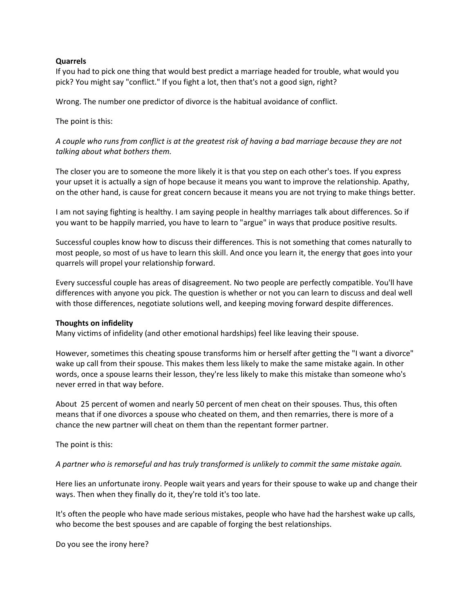#### **Quarrels**

If you had to pick one thing that would best predict a marriage headed for trouble, what would you pick? You might say "conflict." If you fight a lot, then that's not a good sign, right?

Wrong. The number one predictor of divorce is the habitual avoidance of conflict.

The point is this:

*A couple who runs from conflict is at the greatest risk of having a bad marriage because they are not talking about what bothers them.*

The closer you are to someone the more likely it is that you step on each other's toes. If you express your upset it is actually a sign of hope because it means you want to improve the relationship. Apathy, on the other hand, is cause for great concern because it means you are not trying to make things better.

I am not saying fighting is healthy. I am saying people in healthy marriages talk about differences. So if you want to be happily married, you have to learn to "argue" in ways that produce positive results.

Successful couples know how to discuss their differences. This is not something that comes naturally to most people, so most of us have to learn this skill. And once you learn it, the energy that goes into your quarrels will propel your relationship forward.

Every successful couple has areas of disagreement. No two people are perfectly compatible. You'll have differences with anyone you pick. The question is whether or not you can learn to discuss and deal well with those differences, negotiate solutions well, and keeping moving forward despite differences.

#### **Thoughts on infidelity**

Many victims of infidelity (and other emotional hardships) feel like leaving their spouse.

However, sometimes this cheating spouse transforms him or herself after getting the "I want a divorce" wake up call from their spouse. This makes them less likely to make the same mistake again. In other words, once a spouse learns their lesson, they're less likely to make this mistake than someone who's never erred in that way before.

About 25 percent of women and nearly 50 percent of men cheat on their spouses. Thus, this often means that if one divorces a spouse who cheated on them, and then remarries, there is more of a chance the new partner will cheat on them than the repentant former partner.

The point is this:

*A partner who is remorseful and has truly transformed is unlikely to commit the same mistake again.*

Here lies an unfortunate irony. People wait years and years for their spouse to wake up and change their ways. Then when they finally do it, they're told it's too late.

It's often the people who have made serious mistakes, people who have had the harshest wake up calls, who become the best spouses and are capable of forging the best relationships.

Do you see the irony here?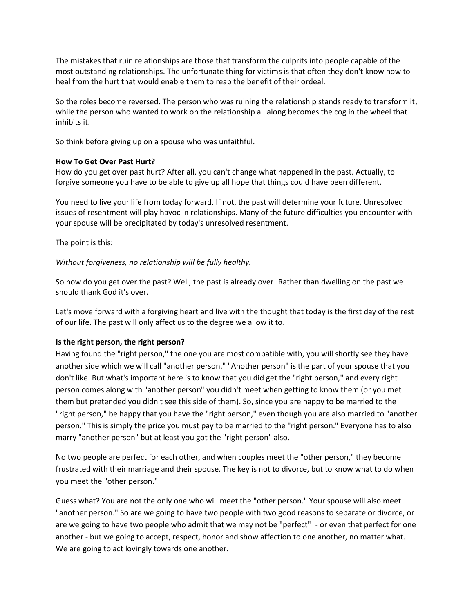The mistakes that ruin relationships are those that transform the culprits into people capable of the most outstanding relationships. The unfortunate thing for victims is that often they don't know how to heal from the hurt that would enable them to reap the benefit of their ordeal.

So the roles become reversed. The person who was ruining the relationship stands ready to transform it, while the person who wanted to work on the relationship all along becomes the cog in the wheel that

inhibits it.<br>So think before giving up on a spouse who was unfaithful.

# **How To Get Over Past Hurt?**

How do you get over past hurt? After all, you can't change what happened in the past. Actually, to forgive someone you have to be able to give up all hope that things could have been different.

You need to live your life from today forward. If not, the past will determine your future. Unresolved issues of resentment will play havoc in relationships. Many of the future difficulties you encounter with your spouse will be precipitated by today's unresolved resentment.

The point is this:

#### *Without forgiveness, no relationship will be fully healthy.*

So how do you get over the past? Well, the past is already over! Rather than dwelling on the past we should thank God it's over.

Let's move forward with a forgiving heart and live with the thought that today is the first day of the rest of our life. The past will only affect us to the degree we allow it to.

# **Is the right person, the right person?**

Having found the "right person," the one you are most compatible with, you will shortly see they have another side which we will call "another person." "Another person" is the part of your spouse that you don't like. But what's important here is to know that you did get the "right person," and every right person comes along with "another person" you didn't meet when getting to know them (or you met them but pretended you didn't see this side of them). So, since you are happy to be married to the "right person," be happy that you have the "right person," even though you are also married to "another person." This is simply the price you must pay to be married to the "right person." Everyone has to also marry "another person" but at least you got the "right person" also.

No two people are perfect for each other, and when couples meet the "other person," they become frustrated with their marriage and their spouse. The key is not to divorce, but to know what to do when you meet the "other person."

Guess what? You are not the only one who will meet the "other person." Your spouse will also meet "another person." So are we going to have two people with two good reasons to separate or divorce, or are we going to have two people who admit that we may not be "perfect" - or even that perfect for one another - but we going to accept, respect, honor and show affection to one another, no matter what. We are going to act lovingly towards one another.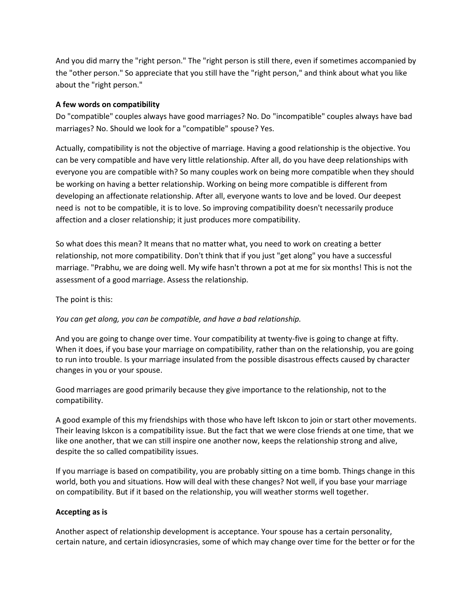And you did marry the "right person." The "right person is still there, even if sometimes accompanied by the "other person." So appreciate that you still have the "right person," and think about what you like about the "right person."

# **A few words on compatibility**

Do "compatible" couples always have good marriages? No. Do "incompatible" couples always have bad marriages? No. Should we look for a "compatible" spouse? Yes.

Actually, compatibility is not the objective of marriage. Having a good relationship is the objective. You can be very compatible and have very little relationship. After all, do you have deep relationships with everyone you are compatible with? So many couples work on being more compatible when they should be working on having a better relationship. Working on being more compatible is different from developing an affectionate relationship. After all, everyone wants to love and be loved. Our deepest need is not to be compatible, it is to love. So improving compatibility doesn't necessarily produce affection and a closer relationship; it just produces more compatibility.

So what does this mean? It means that no matter what, you need to work on creating a better relationship, not more compatibility. Don't think that if you just "get along" you have a successful marriage. "Prabhu, we are doing well. My wife hasn't thrown a pot at me for six months! This is not the assessment of a good marriage. Assess the relationship.

The point is this:

# *You can get along, you can be compatible, and have a bad relationship.*

And you are going to change over time. Your compatibility at twenty-five is going to change at fifty. When it does, if you base your marriage on compatibility, rather than on the relationship, you are going to run into trouble. Is your marriage insulated from the possible disastrous effects caused by character changes in you or your spouse.

Good marriages are good primarily because they give importance to the relationship, not to the compatibility.

A good example of this my friendships with those who have left Iskcon to join or start other movements. Their leaving Iskcon is a compatibility issue. But the fact that we were close friends at one time, that we like one another, that we can still inspire one another now, keeps the relationship strong and alive, despite the so called compatibility issues.

If you marriage is based on compatibility, you are probably sitting on a time bomb. Things change in this world, both you and situations. How will deal with these changes? Not well, if you base your marriage on compatibility. But if it based on the relationship, you will weather storms well together.

# **Accepting as is**

Another aspect of relationship development is acceptance. Your spouse has a certain personality, certain nature, and certain idiosyncrasies, some of which may change over time for the better or for the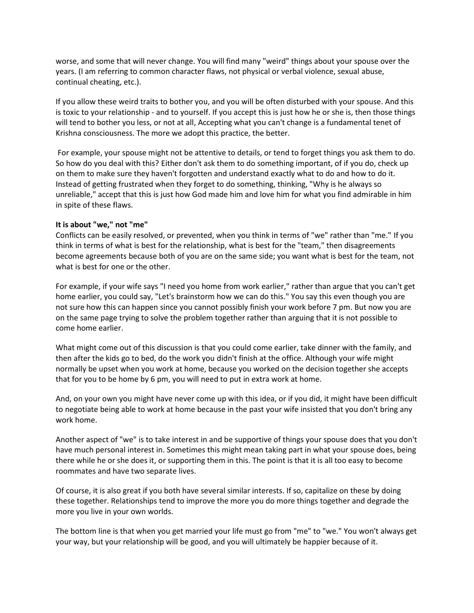worse, and some that will never change. You will find many "weird" things about your spouse over the years. (I am referring to common character flaws, not physical or verbal violence, sexual abuse, continual cheating, etc.).

If you allow these weird traits to bother you, and you will be often disturbed with your spouse. And this is toxic to your relationship - and to yourself. If you accept this is just how he or she is, then those things will tend to bother you less, or not at all, Accepting what you can't change is a fundamental tenet of Krishna consciousness. The more we adopt this practice, the better.

For example, your spouse might not be attentive to details, or tend to forget things you ask them to do. So how do you deal with this? Either don't ask them to do something important, of if you do, check up on them to make sure they haven't forgotten and understand exactly what to do and how to do it. Instead of getting frustrated when they forget to do something, thinking, "Why is he always so unreliable," accept that this is just how God made him and love him for what you find admirable in him in spite of these flaws.

# **It is about "we," not "me"**

Conflicts can be easily resolved, or prevented, when you think in terms of "we" rather than "me." If you think in terms of what is best for the relationship, what is best for the "team," then disagreements become agreements because both of you are on the same side; you want what is best for the team, not what is best for one or the other.

For example, if your wife says "I need you home from work earlier," rather than argue that you can't get home earlier, you could say, "Let's brainstorm how we can do this." You say this even though you are not sure how this can happen since you cannot possibly finish your work before 7 pm. But now you are on the same page trying to solve the problem together rather than arguing that it is not possible to come home earlier.

What might come out of this discussion is that you could come earlier, take dinner with the family, and then after the kids go to bed, do the work you didn't finish at the office. Although your wife might normally be upset when you work at home, because you worked on the decision together she accepts that for you to be home by 6 pm, you will need to put in extra work at home.

And, on your own you might have never come up with this idea, or if you did, it might have been difficult to negotiate being able to work at home because in the past your wife insisted that you don't bring any work home.

Another aspect of "we" is to take interest in and be supportive of things your spouse does that you don't have much personal interest in. Sometimes this might mean taking part in what your spouse does, being there while he or she does it, or supporting them in this. The point is that it is all too easy to become roommates and have two separate lives.

Of course, it is also great if you both have several similar interests. If so, capitalize on these by doing these together. Relationships tend to improve the more you do more things together and degrade the more you live in your own worlds.

The bottom line is that when you get married your life must go from "me" to "we." You won't always get your way, but your relationship will be good, and you will ultimately be happier because of it.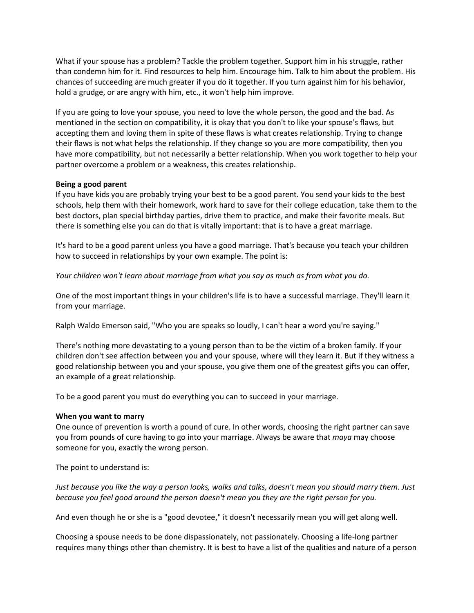What if your spouse has a problem? Tackle the problem together. Support him in his struggle, rather than condemn him for it. Find resources to help him. Encourage him. Talk to him about the problem. His chances of succeeding are much greater if you do it together. If you turn against him for his behavior, hold a grudge, or are angry with him, etc., it won't help him improve.

If you are going to love your spouse, you need to love the whole person, the good and the bad. As mentioned in the section on compatibility, it is okay that you don't to like your spouse's flaws, but accepting them and loving them in spite of these flaws is what creates relationship. Trying to change their flaws is not what helps the relationship. If they change so you are more compatibility, then you have more compatibility, but not necessarily a better relationship. When you work together to help your partner overcome a problem or a weakness, this creates relationship.

#### **Being a good parent**

If you have kids you are probably trying your best to be a good parent. You send your kids to the best schools, help them with their homework, work hard to save for their college education, take them to the best doctors, plan special birthday parties, drive them to practice, and make their favorite meals. But there is something else you can do that is vitally important: that is to have a great marriage.

It's hard to be a good parent unless you have a good marriage. That's because you teach your children how to succeed in relationships by your own example. The point is:

*Your children won't learn about marriage from what you say as much as from what you do.*

One of the most important things in your children's life is to have a successful marriage. They'll learn it from your marriage.

Ralph Waldo Emerson said, "Who you are speaks so loudly, I can't hear a word you're saying."

There's nothing more devastating to a young person than to be the victim of a broken family. If your children don't see affection between you and your spouse, where will they learn it. But if they witness a good relationship between you and your spouse, you give them one of the greatest gifts you can offer, an example of a great relationship.

To be a good parent you must do everything you can to succeed in your marriage.

#### **When you want to marry**

One ounce of prevention is worth a pound of cure. In other words, choosing the right partner can save you from pounds of cure having to go into your marriage. Always be aware that *maya* may choose someone for you, exactly the wrong person.

The point to understand is:

*Just because you like the way a person looks, walks and talks, doesn't mean you should marry them. Just because you feel good around the person doesn't mean you they are the right person for you.*

And even though he or she is a "good devotee," it doesn't necessarily mean you will get along well.

Choosing a spouse needs to be done dispassionately, not passionately. Choosing a life-long partner requires many things other than chemistry. It is best to have a list of the qualities and nature of a person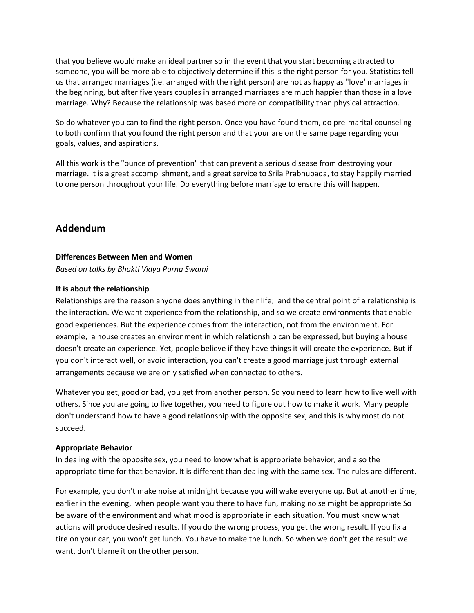that you believe would make an ideal partner so in the event that you start becoming attracted to someone, you will be more able to objectively determine if this is the right person for you. Statistics tell us that arranged marriages (i.e. arranged with the right person) are not as happy as "love' marriages in the beginning, but after five years couples in arranged marriages are much happier than those in a love marriage. Why? Because the relationship was based more on compatibility than physical attraction.

So do whatever you can to find the right person. Once you have found them, do pre-marital counseling to both confirm that you found the right person and that your are on the same page regarding your goals, values, and aspirations.

All this work is the "ounce of prevention" that can prevent a serious disease from destroying your marriage. It is a great accomplishment, and a great service to Srila Prabhupada, to stay happily married to one person throughout your life. Do everything before marriage to ensure this will happen.

# **Addendum**

#### **Differences Between Men and Women**

*Based on talks by Bhakti Vidya Purna Swami*

#### **It is about the relationship**

Relationships are the reason anyone does anything in their life; and the central point of a relationship is the interaction. We want experience from the relationship, and so we create environments that enable good experiences. But the experience comes from the interaction, not from the environment. For example, a house creates an environment in which relationship can be expressed, but buying a house doesn't create an experience. Yet, people believe if they have things it will create the experience. But if you don't interact well, or avoid interaction, you can't create a good marriage just through external arrangements because we are only satisfied when connected to others.

Whatever you get, good or bad, you get from another person. So you need to learn how to live well with others. Since you are going to live together, you need to figure out how to make it work. Many people don't understand how to have a good relationship with the opposite sex, and this is why most do not succeed.

#### **Appropriate Behavior**

In dealing with the opposite sex, you need to know what is appropriate behavior, and also the appropriate time for that behavior. It is different than dealing with the same sex. The rules are different.

For example, you don't make noise at midnight because you will wake everyone up. But at another time, earlier in the evening, when people want you there to have fun, making noise might be appropriate So be aware of the environment and what mood is appropriate in each situation. You must know what actions will produce desired results. If you do the wrong process, you get the wrong result. If you fix a tire on your car, you won't get lunch. You have to make the lunch. So when we don't get the result we want, don't blame it on the other person.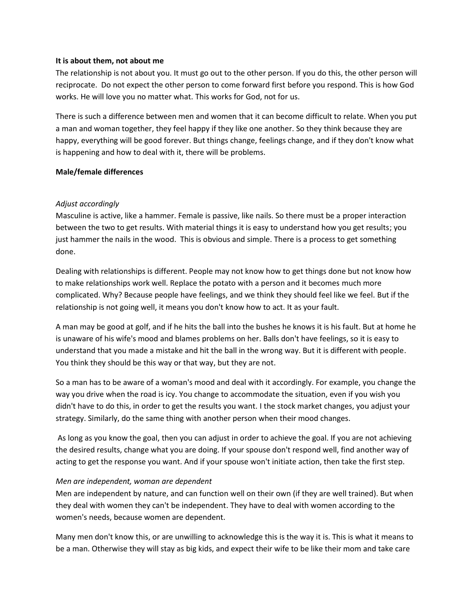#### **It is about them, not about me**

The relationship is not about you. It must go out to the other person. If you do this, the other person will reciprocate. Do not expect the other person to come forward first before you respond. This is how God works. He will love you no matter what. This works for God, not for us.

There is such a difference between men and women that it can become difficult to relate. When you put a man and woman together, they feel happy if they like one another. So they think because they are happy, everything will be good forever. But things change, feelings change, and if they don't know what is happening and how to deal with it, there will be problems.

#### **Male/female differences**

# *Adjust accordingly*

Masculine is active, like a hammer. Female is passive, like nails. So there must be a proper interaction between the two to get results. With material things it is easy to understand how you get results; you just hammer the nails in the wood. This is obvious and simple. There is a process to get something done.

Dealing with relationships is different. People may not know how to get things done but not know how to make relationships work well. Replace the potato with a person and it becomes much more complicated. Why? Because people have feelings, and we think they should feel like we feel. But if the relationship is not going well, it means you don't know how to act. It as your fault.

A man may be good at golf, and if he hits the ball into the bushes he knows it is his fault. But at home he is unaware of his wife's mood and blames problems on her. Balls don't have feelings, so it is easy to understand that you made a mistake and hit the ball in the wrong way. But it is different with people. You think they should be this way or that way, but they are not.

So a man has to be aware of a woman's mood and deal with it accordingly. For example, you change the way you drive when the road is icy. You change to accommodate the situation, even if you wish you didn't have to do this, in order to get the results you want. I the stock market changes, you adjust your strategy. Similarly, do the same thing with another person when their mood changes.

As long as you know the goal, then you can adjust in order to achieve the goal. If you are not achieving the desired results, change what you are doing. If your spouse don't respond well, find another way of acting to get the response you want. And if your spouse won't initiate action, then take the first step.

# *Men are independent, woman are dependent*

Men are independent by nature, and can function well on their own (if they are well trained). But when they deal with women they can't be independent. They have to deal with women according to the women's needs, because women are dependent.

Many men don't know this, or are unwilling to acknowledge this is the way it is. This is what it means to be a man. Otherwise they will stay as big kids, and expect their wife to be like their mom and take care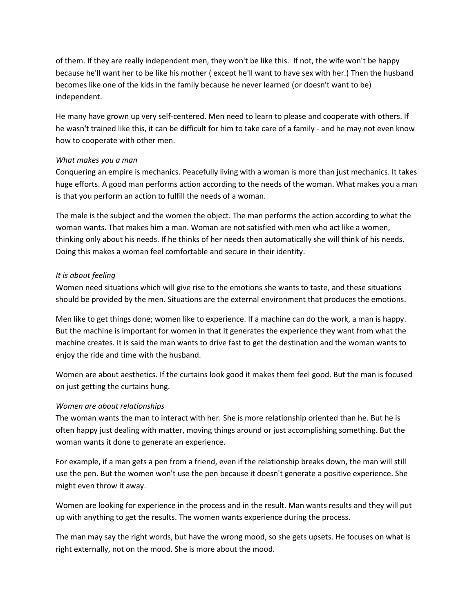of them. If they are really independent men, they won't be like this. If not, the wife won't be happy because he'll want her to be like his mother ( except he'll want to have sex with her.) Then the husband becomes like one of the kids in the family because he never learned (or doesn't want to be) independent.

He many have grown up very self-centered. Men need to learn to please and cooperate with others. If he wasn't trained like this, it can be difficult for him to take care of a family - and he may not even know how to cooperate with other men.

# *What makes you a man*

Conquering an empire is mechanics. Peacefully living with a woman is more than just mechanics. It takes huge efforts. A good man performs action according to the needs of the woman. What makes you a man is that you perform an action to fulfill the needs of a woman.

The male is the subject and the women the object. The man performs the action according to what the woman wants. That makes him a man. Woman are not satisfied with men who act like a women, thinking only about his needs. If he thinks of her needs then automatically she will think of his needs. Doing this makes a woman feel comfortable and secure in their identity.

# *It is about feeling*

Women need situations which will give rise to the emotions she wants to taste, and these situations should be provided by the men. Situations are the external environment that produces the emotions.

Men like to get things done; women like to experience. If a machine can do the work, a man is happy. But the machine is important for women in that it generates the experience they want from what the machine creates. It is said the man wants to drive fast to get the destination and the woman wants to enjoy the ride and time with the husband.

Women are about aesthetics. If the curtains look good it makes them feel good. But the man is focused on just getting the curtains hung.

# *Women are about relationships*

The woman wants the man to interact with her. She is more relationship oriented than he. But he is often happy just dealing with matter, moving things around or just accomplishing something. But the woman wants it done to generate an experience.

For example, if a man gets a pen from a friend, even if the relationship breaks down, the man will still use the pen. But the women won't use the pen because it doesn't generate a positive experience. She might even throw it away.

Women are looking for experience in the process and in the result. Man wants results and they will put up with anything to get the results. The women wants experience during the process.

The man may say the right words, but have the wrong mood, so she gets upsets. He focuses on what is right externally, not on the mood. She is more about the mood.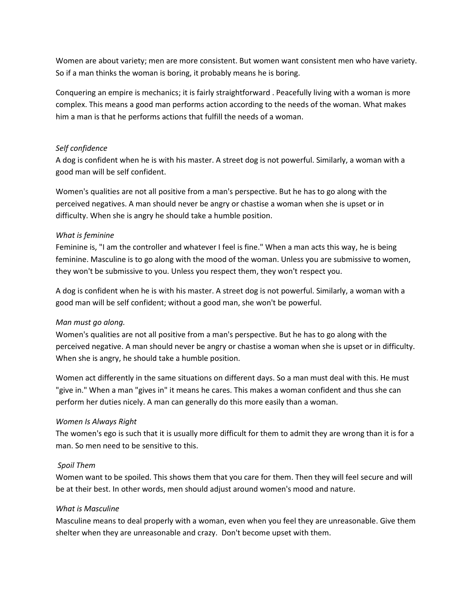Women are about variety; men are more consistent. But women want consistent men who have variety. So if a man thinks the woman is boring, it probably means he is boring.

Conquering an empire is mechanics; it is fairly straightforward . Peacefully living with a woman is more complex. This means a good man performs action according to the needs of the woman. What makes him a man is that he performs actions that fulfill the needs of a woman.

# *Self confidence*

A dog is confident when he is with his master. A street dog is not powerful. Similarly, a woman with a good man will be self confident.

Women's qualities are not all positive from a man's perspective. But he has to go along with the perceived negatives. A man should never be angry or chastise a woman when she is upset or in difficulty. When she is angry he should take a humble position.

#### *What is feminine*

Feminine is, "I am the controller and whatever I feel is fine." When a man acts this way, he is being feminine. Masculine is to go along with the mood of the woman. Unless you are submissive to women, they won't be submissive to you. Unless you respect them, they won't respect you.

A dog is confident when he is with his master. A street dog is not powerful. Similarly, a woman with a good man will be self confident; without a good man, she won't be powerful.

# *Man must go along.*

Women's qualities are not all positive from a man's perspective. But he has to go along with the perceived negative. A man should never be angry or chastise a woman when she is upset or in difficulty. When she is angry, he should take a humble position.

Women act differently in the same situations on different days. So a man must deal with this. He must "give in." When a man "gives in" it means he cares. This makes a woman confident and thus she can perform her duties nicely. A man can generally do this more easily than a woman.

# *Women Is Always Right*

The women's ego is such that it is usually more difficult for them to admit they are wrong than it is for a man. So men need to be sensitive to this.

#### *Spoil Them*

Women want to be spoiled. This shows them that you care for them. Then they will feel secure and will be at their best. In other words, men should adjust around women's mood and nature.

#### *What is Masculine*

Masculine means to deal properly with a woman, even when you feel they are unreasonable. Give them shelter when they are unreasonable and crazy. Don't become upset with them.